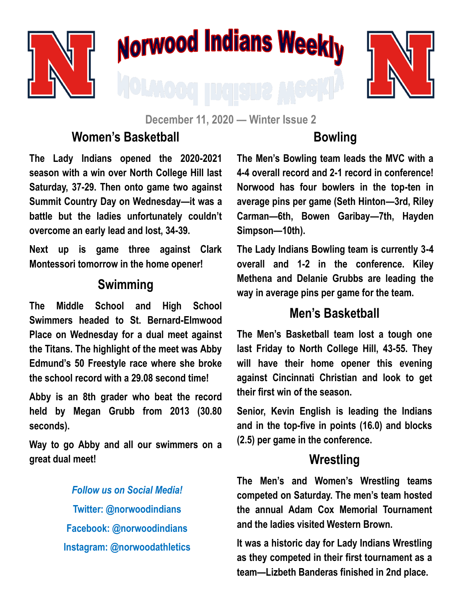

# Norwood Indians Weekly



**December 11, 2020 — Winter Issue 2**

#### **Women's Basketball**

**The Lady Indians opened the 2020-2021 season with a win over North College Hill last Saturday, 37-29. Then onto game two against Summit Country Day on Wednesday—it was a battle but the ladies unfortunately couldn't overcome an early lead and lost, 34-39.**

**Next up is game three against Clark Montessori tomorrow in the home opener!**

#### **Swimming**

**The Middle School and High School Swimmers headed to St. Bernard-Elmwood Place on Wednesday for a dual meet against the Titans. The highlight of the meet was Abby Edmund's 50 Freestyle race where she broke the school record with a 29.08 second time!**

**Abby is an 8th grader who beat the record held by Megan Grubb from 2013 (30.80 seconds).** 

**Way to go Abby and all our swimmers on a great dual meet!**

> *Follow us on Social Media!* **Twitter: @norwoodindians Facebook: @norwoodindians Instagram: @norwoodathletics**

### **Bowling**

**The Men's Bowling team leads the MVC with a 4-4 overall record and 2-1 record in conference! Norwood has four bowlers in the top-ten in average pins per game (Seth Hinton—3rd, Riley Carman—6th, Bowen Garibay—7th, Hayden Simpson—10th).** 

**The Lady Indians Bowling team is currently 3-4 overall and 1-2 in the conference. Kiley Methena and Delanie Grubbs are leading the way in average pins per game for the team.**

#### **Men's Basketball**

**The Men's Basketball team lost a tough one last Friday to North College Hill, 43-55. They will have their home opener this evening against Cincinnati Christian and look to get their first win of the season.** 

**Senior, Kevin English is leading the Indians and in the top-five in points (16.0) and blocks (2.5) per game in the conference.**

#### **Wrestling**

**The Men's and Women's Wrestling teams competed on Saturday. The men's team hosted the annual Adam Cox Memorial Tournament and the ladies visited Western Brown.** 

**It was a historic day for Lady Indians Wrestling as they competed in their first tournament as a team—Lizbeth Banderas finished in 2nd place.**